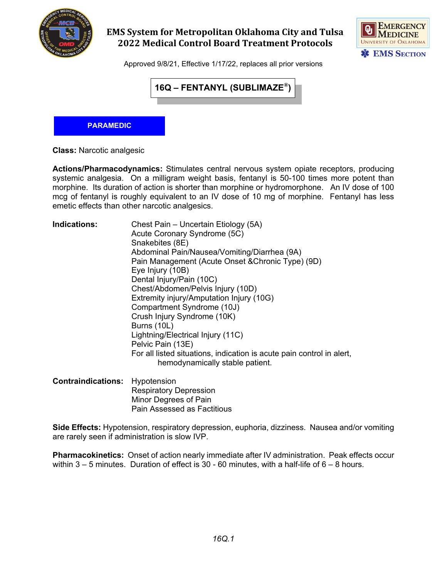

## **EMS System for Metropolitan Oklahoma City and Tulsa 2022 Medical Control Board Treatment Protocols**



Approved 9/8/21, Effective 1/17/22, replaces all prior versions



## **PARAMEDIC**

**Class:** Narcotic analgesic

**Actions/Pharmacodynamics:** Stimulates central nervous system opiate receptors, producing systemic analgesia. On a milligram weight basis, fentanyl is 50-100 times more potent than morphine. Its duration of action is shorter than morphine or hydromorphone. An IV dose of 100 mcg of fentanyl is roughly equivalent to an IV dose of 10 mg of morphine. Fentanyl has less emetic effects than other narcotic analgesics.

| <b>Indications:</b> | Chest Pain - Uncertain Etiology (5A)                                  |
|---------------------|-----------------------------------------------------------------------|
|                     | Acute Coronary Syndrome (5C)                                          |
|                     | Snakebites (8E)                                                       |
|                     | Abdominal Pain/Nausea/Vomiting/Diarrhea (9A)                          |
|                     | Pain Management (Acute Onset & Chronic Type) (9D)                     |
|                     | Eye Injury (10B)                                                      |
|                     | Dental Injury/Pain (10C)                                              |
|                     | Chest/Abdomen/Pelvis Injury (10D)                                     |
|                     | Extremity injury/Amputation Injury (10G)                              |
|                     | Compartment Syndrome (10J)                                            |
|                     | Crush Injury Syndrome (10K)                                           |
|                     | Burns (10L)                                                           |
|                     | Lightning/Electrical Injury (11C)                                     |
|                     | Pelvic Pain (13E)                                                     |
|                     | For all listed situations, indication is acute pain control in alert, |
|                     | hemodynamically stable patient.                                       |
|                     |                                                                       |

**Contraindications:** Hypotension Respiratory Depression Minor Degrees of Pain Pain Assessed as Factitious

**Side Effects:** Hypotension, respiratory depression, euphoria, dizziness. Nausea and/or vomiting are rarely seen if administration is slow IVP.

**Pharmacokinetics:** Onset of action nearly immediate after IV administration. Peak effects occur within  $3 - 5$  minutes. Duration of effect is  $30 - 60$  minutes, with a half-life of  $6 - 8$  hours.